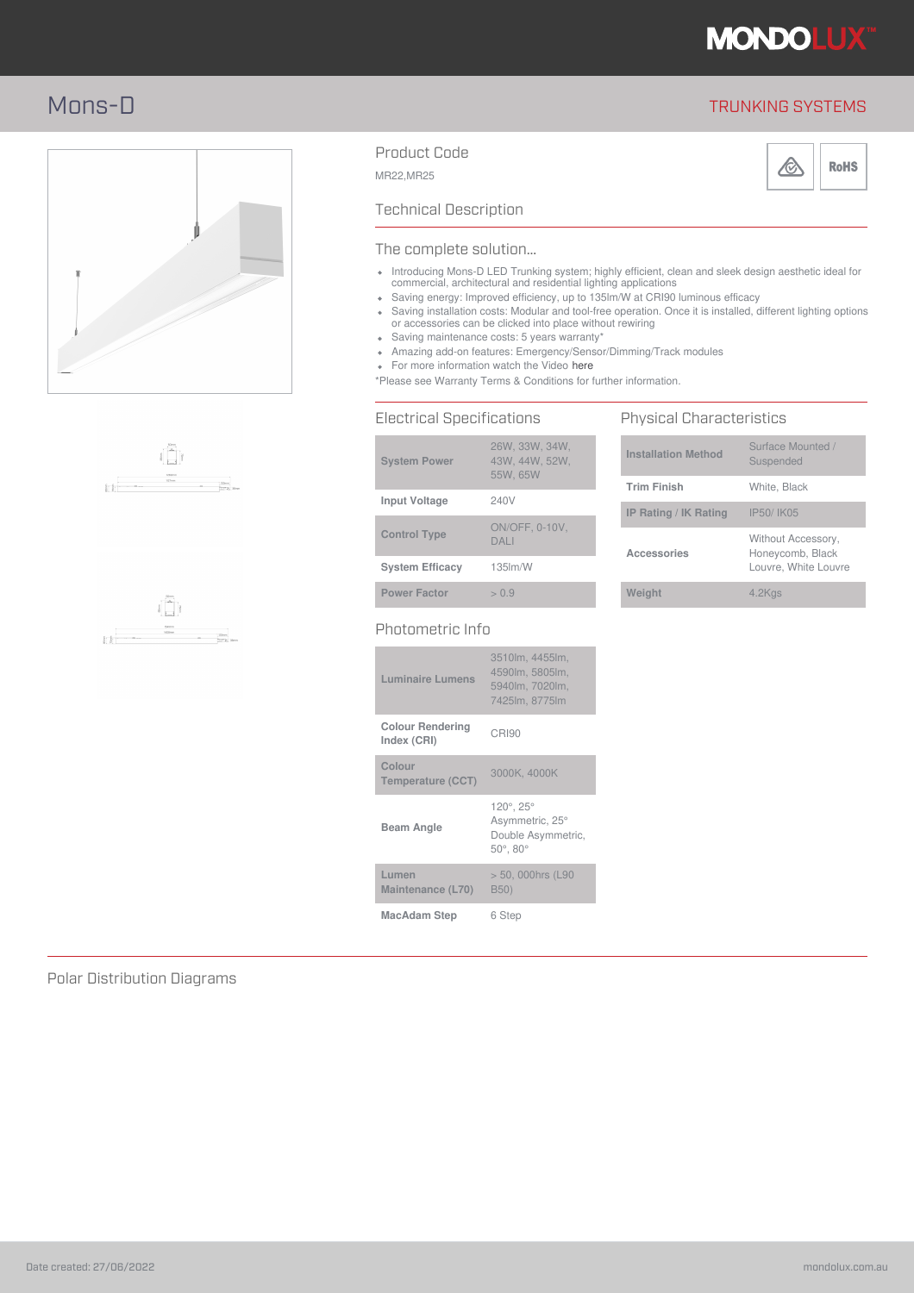

# Mons-D TRUNKING SYSTEMS







## Product Code



MR22,MR25



### Technical Description

#### The complete solution…

- Introducing Mons-D LED Trunking system; highly efficient, clean and sleek design aesthetic ideal for commercial, architectural and residential lighting applications
- Saving energy: Improved efficiency, up to 135lm/W at CRI90 luminous efficacy
- Saving installation costs: Modular and tool-free operation. Once it is installed, different lighting options or accessories can be clicked into place without rewiring
- Saving maintenance costs: 5 years warranty'
- Amazing add-on features: Emergency/Sensor/Dimming/Track modules
- For more information watch the Video here

\*Please see Warranty Terms & Conditions for further information.

### Electrical Specifications

| <b>System Power</b>    | 26W. 33W. 34W.<br>43W, 44W, 52W,<br>55W, 65W |
|------------------------|----------------------------------------------|
| <b>Input Voltage</b>   | 240V                                         |
| <b>Control Type</b>    | <b>ON/OFF, 0-10V.</b><br>DAI I               |
| <b>System Efficacy</b> | $135$ $\text{Im}/\text{W}$                   |
| <b>Power Factor</b>    | > 0.9                                        |
|                        |                                              |

### Photometric Info

| <b>Luminaire Lumens</b>                | 3510lm, 4455lm,<br>4590lm, 5805lm,<br>5940lm, 7020lm,<br>7425lm, 8775lm           |
|----------------------------------------|-----------------------------------------------------------------------------------|
| <b>Colour Rendering</b><br>Index (CRI) | CRI90                                                                             |
| Colour<br><b>Temperature (CCT)</b>     | 3000K, 4000K                                                                      |
| <b>Beam Angle</b>                      | 120°, 25°<br>Asymmetric, 25°<br>Double Asymmetric,<br>$50^{\circ}$ , $80^{\circ}$ |
| Lumen<br>Maintenance (L70)             | > 50, 000hrs (L90<br>B50)                                                         |
| MacAdam Step                           | 6 Step                                                                            |

#### Physical Characteristics **Installation Method** Surface Mounted / Suspended **Trim Finish** White, Black **IP Rating / IK Rating** IP50/ IK05 **Accessories** Without Accessory, Honeycomb, Black Louvre, White Louvre **Weight** 4.2Kgs

Polar Distribution Diagrams